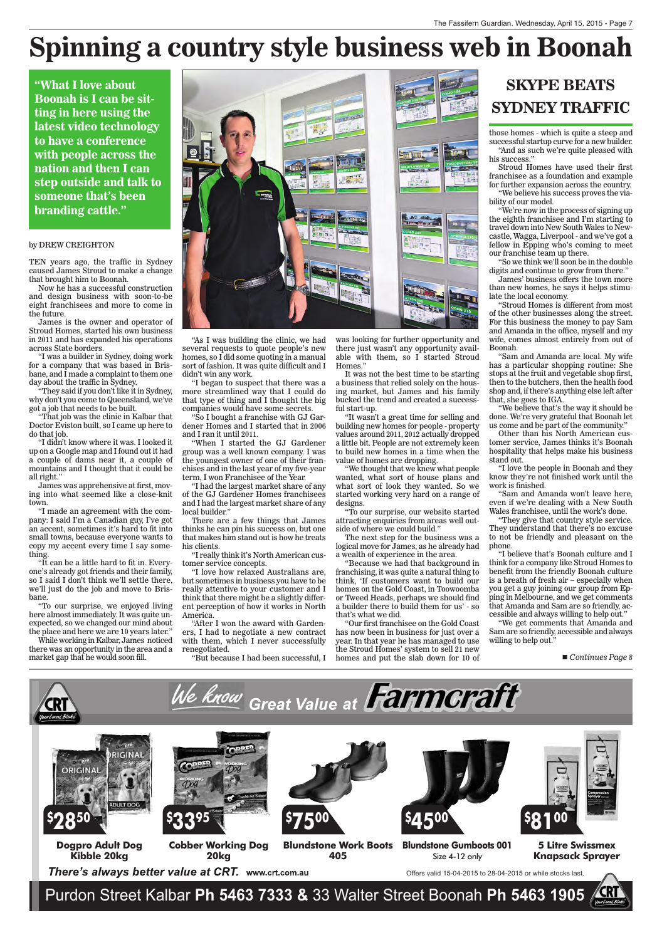

#### by DREW CREIGHTON

TEN years ago, the traffic in Sydney caused James Stroud to make a change that brought him to Boonah.

Now he has a successful construction and design business with soon-to-be eight franchisees and more to come in the future.

James is the owner and operator of Stroud Homes, started his own business in 2011 and has expanded his operations across State borders.

"I was a builder in Sydney, doing work for a company that was based in Brisbane, and  $\overline{I}$  made a complaint to them one day about the traffic in Sydney.

"They said if you don't like it in Sydney, why don't you come to Queensland, we've got a job that needs to be built.

"That job was the clinic in Kalbar that Doctor Eviston built, so I came up here to do that job.

"I didn't know where it was. I looked it up on a Google map and I found out it had a couple of dams near it, a couple of mountains and I thought that it could be all right."

James was apprehensive at first, moving into what seemed like a close-knit town.

"I made an agreement with the company: I said I'm a Canadian guy, I've got an accent, sometimes it's hard to fit into small towns, because everyone wants to copy my accent every time I say something.

"It can be a little hard to fit in. Everyone's already got friends and their family, so I said I don't think we'll settle there, we'll just do the job and move to Brisbane.

was looking for further opportunity and there just wasn't any opportunity available with them, so I started Stroud Homes."

"To our surprise, we enjoyed living here almost immediately. It was quite unexpected, so we changed our mind about the place and here we are 10 years later."

While working in Kalbar, James noticed there was an opportunity in the area and a market gap that he would soon fill.



"As I was building the clinic, we had several requests to quote people's new homes, so  $\overline{\mathrm{1}}$  did some quoting in a manual sort of fashion. It was quite difficult and I didn't win any work.

"I began to suspect that there was a more streamlined way that I could do that type of thing and I thought the big companies would have some secrets.

"So I bought a franchise with GJ Gardener Homes and I started that in 2006 and I ran it until 2011.

"When I started the GJ Gardener group was a well known company. I was the youngest owner of one of their franchises and in the last year of my five-year term, I won Franchisee of the Year.

"I had the largest market share of any of the GJ Gardener Homes franchisees and I had the largest market share of any local builder."

There are a few things that James thinks he can pin his success on, but one that makes him stand out is how he treats his clients.

"I really think it's North American customer service concepts.

"I love how relaxed Australians are, but sometimes in business you have to be really attentive to your customer and I think that there might be a slightly different perception of how it works in North America.

"After I won the award with Gardeners, I had to negotiate a new contract with them, which I never successfully renegotiated.

"But because I had been successful, I

It was not the best time to be starting a business that relied solely on the housing market, but James and his family bucked the trend and created a successful start-up.

"It wasn't a great time for selling and building new homes for people - property values around 2011, 2012 actually dropped a little bit. People are not extremely keen to build new homes in a time when the value of homes are dropping.

"We thought that we knew what people wanted, what sort of house plans and what sort of look they wanted. So we started working very hard on a range of designs.

"To our surprise, our website started attracting enquiries from areas well outside of where we could build."

The next step for the business was a logical move for James, as he already had a wealth of experience in the area.

"Because we had that background in franchising, it was quite a natural thing to think, 'If customers want to build our homes on the Gold Coast, in Toowoomba or Tweed Heads, perhaps we should find a builder there to build them for us' - so that's what we did.

"Our first franchisee on the Gold Coast has now been in business for just over a year. In that year he has managed to use the Stroud Homes' system to sell 21 new homes and put the slab down for 10 of

those homes - which is quite a steep and successful startup curve for a new builder. "And as such we're quite pleased with his success."

Stroud Homes have used their first franchisee as a foundation and example for further expansion across the country.

"We believe his success proves the viability of our model.

"We're now in the process of signing up the eighth franchisee and I'm starting to travel down into New South Wales to Newcastle, Wagga, Liverpool - and we've got a fellow in Epping who's coming to meet our franchise team up there.

"So we think we'll soon be in the double digits and continue to grow from there."

James' business offers the town more than new homes, he says it helps stimulate the local economy.

"Stroud Homes is different from most of the other businesses along the street. For this business the money to pay Sam and Amanda in the office, myself and my wife, comes almost entirely from out of Boonah.

"Sam and Amanda are local. My wife has a particular shopping routine: She stops at the fruit and vegetable shop first, then to the butchers, then the health food shop and, if there's anything else left after that, she goes to IGA.

"We believe that's the way it should be done. We're very grateful that Boonah let us come and be part of the community."

Other than his North American customer service, James thinks it's Boonah hospitality that helps make his business stand out.

"I love the people in Boonah and they know they're not finished work until the work is finished.

"Sam and Amanda won't leave here, even if we're dealing with a New South Wales franchisee, until the work's done.

"They give that country style service. They understand that there's no excuse to not be friendly and pleasant on the phone.

"I believe that's Boonah culture and I think for a company like Stroud Homes to benefit from the friendly Boonah culture is a breath of fresh air – especially when you get a guy joining our group from Epping in Melbourne, and we get comments that Amanda and Sam are so friendly, accessible and always willing to help out."

"We get comments that Amanda and Sam are so friendly, accessible and always willing to help out."

■ *Continues Page 8* 



## **SKYPE BEATS SYDNEY TRAFFIC**

# **Spinning a country style business web in Boonah**

**"What I love about Boonah is I can be sitting in here using the latest video technology to have a conference with people across the nation and then I can step outside and talk to someone that's been branding cattle."**